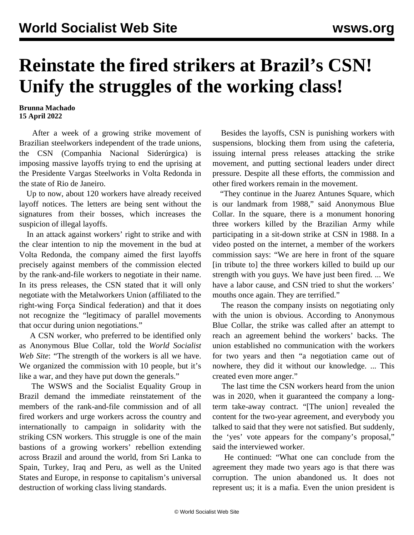## **Reinstate the fired strikers at Brazil's CSN! Unify the struggles of the working class!**

## **Brunna Machado 15 April 2022**

 After a week of a growing strike movement of Brazilian steelworkers independent of the trade unions, the CSN (Companhia Nacional Siderúrgica) is imposing massive layoffs trying to end the uprising at the Presidente Vargas Steelworks in Volta Redonda in the state of Rio de Janeiro.

 Up to now, about 120 workers have already received layoff notices. The letters are being sent without the signatures from their bosses, which increases the suspicion of illegal layoffs.

 In an attack against workers' right to strike and with the clear intention to nip the movement in the bud at Volta Redonda, the company aimed the first layoffs precisely against members of the commission elected by the rank-and-file workers to negotiate in their name. In its press releases, the CSN stated that it will only negotiate with the Metalworkers Union (affiliated to the right-wing Força Sindical federation) and that it does not recognize the "legitimacy of parallel movements that occur during union negotiations."

 A CSN worker, who preferred to be identified only as Anonymous Blue Collar, told the *World Socialist Web Site*: "The strength of the workers is all we have. We organized the commission with 10 people, but it's like a war, and they have put down the generals."

 The WSWS and the Socialist Equality Group in Brazil demand the immediate reinstatement of the members of the rank-and-file commission and of all fired workers and urge workers across the country and internationally to campaign in solidarity with the striking CSN workers. This struggle is one of the main bastions of a growing workers' rebellion extending across Brazil and around the world, from Sri Lanka to Spain, Turkey, Iraq and Peru, as well as the United States and Europe, in response to capitalism's universal destruction of working class living standards.

 Besides the layoffs, CSN is punishing workers with suspensions, blocking them from using the cafeteria, issuing internal press releases attacking the strike movement, and putting sectional leaders under direct pressure. Despite all these efforts, the commission and other fired workers remain in the movement.

 "They continue in the Juarez Antunes Square, which is our landmark from 1988," said Anonymous Blue Collar. In the square, there is a monument honoring three workers killed by the Brazilian Army while participating in a sit-down strike at CSN in 1988. In a video posted on the internet, a member of the workers commission says: "We are here in front of the square [in tribute to] the three workers killed to build up our strength with you guys. We have just been fired. ... We have a labor cause, and CSN tried to shut the workers' mouths once again. They are terrified."

 The reason the company insists on negotiating only with the union is obvious. According to Anonymous Blue Collar, the strike was called after an attempt to reach an agreement behind the workers' backs. The union established no communication with the workers for two years and then "a negotiation came out of nowhere, they did it without our knowledge. ... This created even more anger."

 The last time the CSN workers heard from the union was in 2020, when it guaranteed the company a [long](/en/articles/2020/06/17/bras-j17.html)[term take-away contract](/en/articles/2020/06/17/bras-j17.html). "[The union] revealed the content for the two-year agreement, and everybody you talked to said that they were not satisfied. But suddenly, the 'yes' vote appears for the company's proposal," said the interviewed worker.

 He continued: "What one can conclude from the agreement they made two years ago is that there was corruption. The union abandoned us. It does not represent us; it is a mafia. Even the union president is